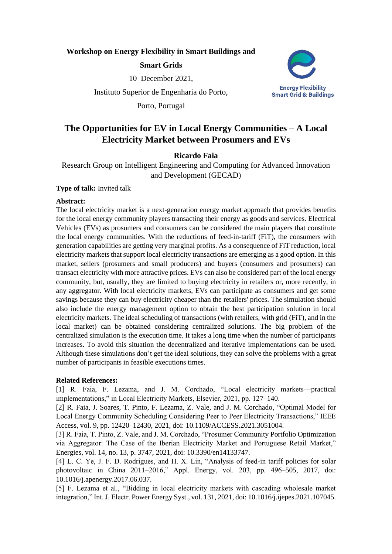## **Workshop on Energy Flexibility in Smart Buildings and**

## **Smart Grids**

10 December 2021,

Instituto Superior de Engenharia do Porto,

Porto, Portugal



# **The Opportunities for EV in Local Energy Communities – A Local Electricity Market between Prosumers and EVs**

## **Ricardo Faia**

Research Group on Intelligent Engineering and Computing for Advanced Innovation and Development (GECAD)

#### **Type of talk:** Invited talk

#### **Abstract:**

The local electricity market is a next-generation energy market approach that provides benefits for the local energy community players transacting their energy as goods and services. Electrical Vehicles (EVs) as prosumers and consumers can be considered the main players that constitute the local energy communities. With the reductions of feed-in-tariff (FiT), the consumers with generation capabilities are getting very marginal profits. As a consequence of FiT reduction, local electricity markets that support local electricity transactions are emerging as a good option. In this market, sellers (prosumers and small producers) and buyers (consumers and prosumers) can transact electricity with more attractive prices. EVs can also be considered part of the local energy community, but, usually, they are limited to buying electricity in retailers or, more recently, in any aggregator. With local electricity markets, EVs can participate as consumers and get some savings because they can buy electricity cheaper than the retailers' prices. The simulation should also include the energy management option to obtain the best participation solution in local electricity markets. The ideal scheduling of transactions (with retailers, with grid (FiT), and in the local market) can be obtained considering centralized solutions. The big problem of the centralized simulation is the execution time. It takes a long time when the number of participants increases. To avoid this situation the decentralized and iterative implementations can be used. Although these simulations don't get the ideal solutions, they can solve the problems with a great number of participants in feasible executions times.

#### **Related References:**

[1] R. Faia, F. Lezama, and J. M. Corchado, "Local electricity markets—practical implementations," in Local Electricity Markets, Elsevier, 2021, pp. 127–140.

[2] R. Faia, J. Soares, T. Pinto, F. Lezama, Z. Vale, and J. M. Corchado, "Optimal Model for Local Energy Community Scheduling Considering Peer to Peer Electricity Transactions," IEEE Access, vol. 9, pp. 12420–12430, 2021, doi: 10.1109/ACCESS.2021.3051004.

[3] R. Faia, T. Pinto, Z. Vale, and J. M. Corchado, "Prosumer Community Portfolio Optimization via Aggregator: The Case of the Iberian Electricity Market and Portuguese Retail Market," Energies, vol. 14, no. 13, p. 3747, 2021, doi: 10.3390/en14133747.

[4] L. C. Ye, J. F. D. Rodrigues, and H. X. Lin, "Analysis of feed-in tariff policies for solar photovoltaic in China 2011–2016," Appl. Energy, vol. 203, pp. 496–505, 2017, doi: 10.1016/j.apenergy.2017.06.037.

[5] F. Lezama et al., "Bidding in local electricity markets with cascading wholesale market integration," Int. J. Electr. Power Energy Syst., vol. 131, 2021, doi: 10.1016/j.ijepes.2021.107045.